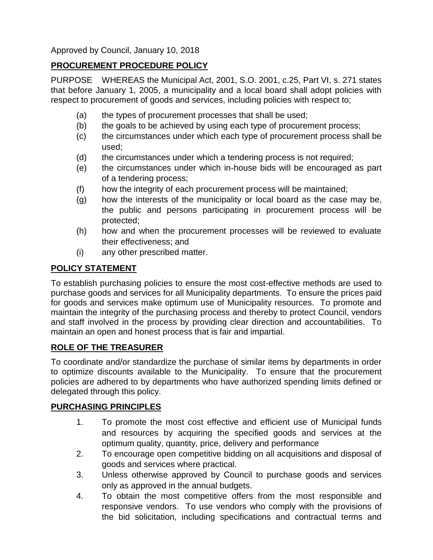Approved by Council, January 10, 2018

# **PROCUREMENT PROCEDURE POLICY**

PURPOSE WHEREAS the Municipal Act, 2001, S.O. 2001, c.25, Part VI, s. 271 states that before January 1, 2005, a municipality and a local board shall adopt policies with respect to procurement of goods and services, including policies with respect to;

- (a) the types of procurement processes that shall be used;
- (b) the goals to be achieved by using each type of procurement process;
- (c) the circumstances under which each type of procurement process shall be used;
- (d) the circumstances under which a tendering process is not required;
- (e) the circumstances under which in-house bids will be encouraged as part of a tendering process;
- (f) how the integrity of each procurement process will be maintained;
- (g) how the interests of the municipality or local board as the case may be, the public and persons participating in procurement process will be protected;
- (h) how and when the procurement processes will be reviewed to evaluate their effectiveness; and
- (i) any other prescribed matter.

# **POLICY STATEMENT**

To establish purchasing policies to ensure the most cost-effective methods are used to purchase goods and services for all Municipality departments. To ensure the prices paid for goods and services make optimum use of Municipality resources. To promote and maintain the integrity of the purchasing process and thereby to protect Council, vendors and staff involved in the process by providing clear direction and accountabilities. To maintain an open and honest process that is fair and impartial.

### **ROLE OF THE TREASURER**

To coordinate and/or standardize the purchase of similar items by departments in order to optimize discounts available to the Municipality. To ensure that the procurement policies are adhered to by departments who have authorized spending limits defined or delegated through this policy.

### **PURCHASING PRINCIPLES**

- 1. To promote the most cost effective and efficient use of Municipal funds and resources by acquiring the specified goods and services at the optimum quality, quantity, price, delivery and performance
- 2. To encourage open competitive bidding on all acquisitions and disposal of goods and services where practical.
- 3. Unless otherwise approved by Council to purchase goods and services only as approved in the annual budgets.
- 4. To obtain the most competitive offers from the most responsible and responsive vendors. To use vendors who comply with the provisions of the bid solicitation, including specifications and contractual terms and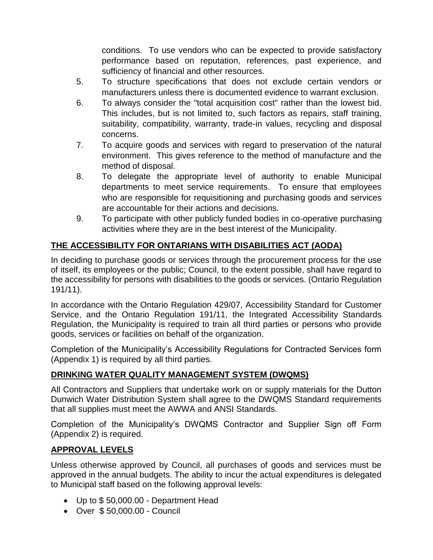conditions. To use vendors who can be expected to provide satisfactory performance based on reputation, references, past experience, and sufficiency of financial and other resources.

- 5. To structure specifications that does not exclude certain vendors or manufacturers unless there is documented evidence to warrant exclusion.
- 6. To always consider the "total acquisition cost" rather than the lowest bid. This includes, but is not limited to, such factors as repairs, staff training, suitability, compatibility, warranty, trade-in values, recycling and disposal concerns.
- 7. To acquire goods and services with regard to preservation of the natural environment. This gives reference to the method of manufacture and the method of disposal.
- 8. To delegate the appropriate level of authority to enable Municipal departments to meet service requirements. To ensure that employees who are responsible for requisitioning and purchasing goods and services are accountable for their actions and decisions.
- 9. To participate with other publicly funded bodies in co-operative purchasing activities where they are in the best interest of the Municipality.

# **THE ACCESSIBILITY FOR ONTARIANS WITH DISABILITIES ACT (AODA)**

In deciding to purchase goods or services through the procurement process for the use of itself, its employees or the public; Council, to the extent possible, shall have regard to the accessibility for persons with disabilities to the goods or services. (Ontario Regulation 191/11).

In accordance with the Ontario Regulation 429/07, Accessibility Standard for Customer Service, and the Ontario Regulation 191/11, the Integrated Accessibility Standards Regulation, the Municipality is required to train all third parties or persons who provide goods, services or facilities on behalf of the organization.

Completion of the Municipality's Accessibility Regulations for Contracted Services form (Appendix 1) is required by all third parties.

# **DRINKING WATER QUALITY MANAGEMENT SYSTEM (DWQMS)**

All Contractors and Suppliers that undertake work on or supply materials for the Dutton Dunwich Water Distribution System shall agree to the DWQMS Standard requirements that all supplies must meet the AWWA and ANSI Standards.

Completion of the Municipality's DWQMS Contractor and Supplier Sign off Form (Appendix 2) is required.

# **APPROVAL LEVELS**

Unless otherwise approved by Council, all purchases of goods and services must be approved in the annual budgets. The ability to incur the actual expenditures is delegated to Municipal staff based on the following approval levels:

- Up to \$ 50,000.00 Department Head
- Over \$ 50,000.00 Council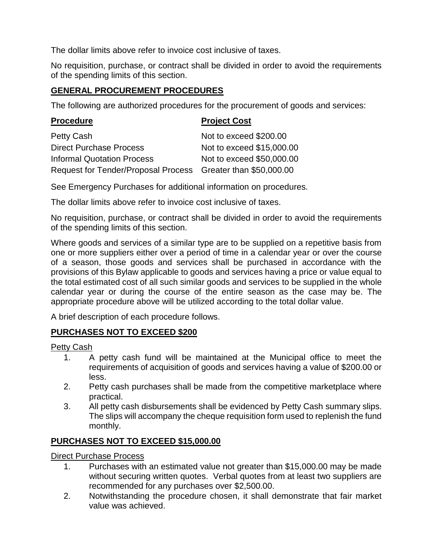The dollar limits above refer to invoice cost inclusive of taxes.

No requisition, purchase, or contract shall be divided in order to avoid the requirements of the spending limits of this section.

## **GENERAL PROCUREMENT PROCEDURES**

The following are authorized procedures for the procurement of goods and services:

| <b>Procedure</b>                                             | <b>Project Cost</b>       |
|--------------------------------------------------------------|---------------------------|
| Petty Cash                                                   | Not to exceed \$200.00    |
| <b>Direct Purchase Process</b>                               | Not to exceed \$15,000.00 |
| <b>Informal Quotation Process</b>                            | Not to exceed \$50,000.00 |
| Request for Tender/Proposal Process Greater than \$50,000.00 |                           |

See Emergency Purchases for additional information on procedures.

The dollar limits above refer to invoice cost inclusive of taxes.

No requisition, purchase, or contract shall be divided in order to avoid the requirements of the spending limits of this section.

Where goods and services of a similar type are to be supplied on a repetitive basis from one or more suppliers either over a period of time in a calendar year or over the course of a season, those goods and services shall be purchased in accordance with the provisions of this Bylaw applicable to goods and services having a price or value equal to the total estimated cost of all such similar goods and services to be supplied in the whole calendar year or during the course of the entire season as the case may be. The appropriate procedure above will be utilized according to the total dollar value.

A brief description of each procedure follows.

# **PURCHASES NOT TO EXCEED \$200**

Petty Cash

- 1. A petty cash fund will be maintained at the Municipal office to meet the requirements of acquisition of goods and services having a value of \$200.00 or less.
- 2. Petty cash purchases shall be made from the competitive marketplace where practical.
- 3. All petty cash disbursements shall be evidenced by Petty Cash summary slips. The slips will accompany the cheque requisition form used to replenish the fund monthly.

### **PURCHASES NOT TO EXCEED \$15,000.00**

## Direct Purchase Process

- 1. Purchases with an estimated value not greater than \$15,000.00 may be made without securing written quotes. Verbal quotes from at least two suppliers are recommended for any purchases over \$2,500.00.
- 2. Notwithstanding the procedure chosen, it shall demonstrate that fair market value was achieved.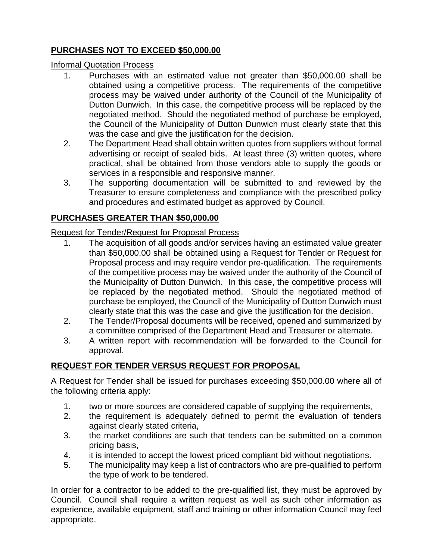# **PURCHASES NOT TO EXCEED \$50,000.00**

#### Informal Quotation Process

- 1. Purchases with an estimated value not greater than \$50,000.00 shall be obtained using a competitive process. The requirements of the competitive process may be waived under authority of the Council of the Municipality of Dutton Dunwich. In this case, the competitive process will be replaced by the negotiated method. Should the negotiated method of purchase be employed, the Council of the Municipality of Dutton Dunwich must clearly state that this was the case and give the justification for the decision.
- 2. The Department Head shall obtain written quotes from suppliers without formal advertising or receipt of sealed bids. At least three (3) written quotes, where practical, shall be obtained from those vendors able to supply the goods or services in a responsible and responsive manner.
- 3. The supporting documentation will be submitted to and reviewed by the Treasurer to ensure completeness and compliance with the prescribed policy and procedures and estimated budget as approved by Council.

# **PURCHASES GREATER THAN \$50,000.00**

### Request for Tender/Request for Proposal Process

- 1. The acquisition of all goods and/or services having an estimated value greater than \$50,000.00 shall be obtained using a Request for Tender or Request for Proposal process and may require vendor pre-qualification. The requirements of the competitive process may be waived under the authority of the Council of the Municipality of Dutton Dunwich. In this case, the competitive process will be replaced by the negotiated method. Should the negotiated method of purchase be employed, the Council of the Municipality of Dutton Dunwich must clearly state that this was the case and give the justification for the decision.
- 2. The Tender/Proposal documents will be received, opened and summarized by a committee comprised of the Department Head and Treasurer or alternate.
- 3. A written report with recommendation will be forwarded to the Council for approval.

# **REQUEST FOR TENDER VERSUS REQUEST FOR PROPOSAL**

A Request for Tender shall be issued for purchases exceeding \$50,000.00 where all of the following criteria apply:

- 1. two or more sources are considered capable of supplying the requirements,
- 2. the requirement is adequately defined to permit the evaluation of tenders against clearly stated criteria,
- 3. the market conditions are such that tenders can be submitted on a common pricing basis,
- 4. it is intended to accept the lowest priced compliant bid without negotiations.
- 5. The municipality may keep a list of contractors who are pre-qualified to perform the type of work to be tendered.

In order for a contractor to be added to the pre-qualified list, they must be approved by Council. Council shall require a written request as well as such other information as experience, available equipment, staff and training or other information Council may feel appropriate.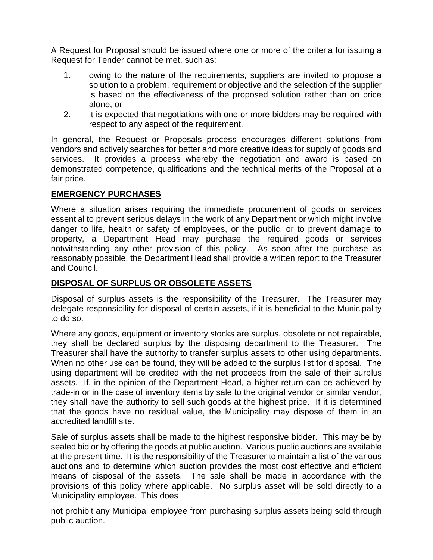A Request for Proposal should be issued where one or more of the criteria for issuing a Request for Tender cannot be met, such as:

- 1. owing to the nature of the requirements, suppliers are invited to propose a solution to a problem, requirement or objective and the selection of the supplier is based on the effectiveness of the proposed solution rather than on price alone, or
- 2. it is expected that negotiations with one or more bidders may be required with respect to any aspect of the requirement.

In general, the Request or Proposals process encourages different solutions from vendors and actively searches for better and more creative ideas for supply of goods and services. It provides a process whereby the negotiation and award is based on demonstrated competence, qualifications and the technical merits of the Proposal at a fair price.

#### **EMERGENCY PURCHASES**

Where a situation arises requiring the immediate procurement of goods or services essential to prevent serious delays in the work of any Department or which might involve danger to life, health or safety of employees, or the public, or to prevent damage to property, a Department Head may purchase the required goods or services notwithstanding any other provision of this policy. As soon after the purchase as reasonably possible, the Department Head shall provide a written report to the Treasurer and Council.

#### **DISPOSAL OF SURPLUS OR OBSOLETE ASSETS**

Disposal of surplus assets is the responsibility of the Treasurer. The Treasurer may delegate responsibility for disposal of certain assets, if it is beneficial to the Municipality to do so.

Where any goods, equipment or inventory stocks are surplus, obsolete or not repairable, they shall be declared surplus by the disposing department to the Treasurer. The Treasurer shall have the authority to transfer surplus assets to other using departments. When no other use can be found, they will be added to the surplus list for disposal. The using department will be credited with the net proceeds from the sale of their surplus assets. If, in the opinion of the Department Head, a higher return can be achieved by trade-in or in the case of inventory items by sale to the original vendor or similar vendor, they shall have the authority to sell such goods at the highest price. If it is determined that the goods have no residual value, the Municipality may dispose of them in an accredited landfill site.

Sale of surplus assets shall be made to the highest responsive bidder. This may be by sealed bid or by offering the goods at public auction. Various public auctions are available at the present time. It is the responsibility of the Treasurer to maintain a list of the various auctions and to determine which auction provides the most cost effective and efficient means of disposal of the assets. The sale shall be made in accordance with the provisions of this policy where applicable. No surplus asset will be sold directly to a Municipality employee. This does

not prohibit any Municipal employee from purchasing surplus assets being sold through public auction.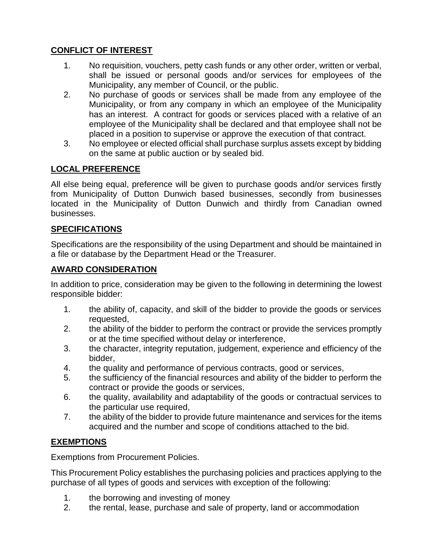## **CONFLICT OF INTEREST**

- 1. No requisition, vouchers, petty cash funds or any other order, written or verbal, shall be issued or personal goods and/or services for employees of the Municipality, any member of Council, or the public.
- 2. No purchase of goods or services shall be made from any employee of the Municipality, or from any company in which an employee of the Municipality has an interest. A contract for goods or services placed with a relative of an employee of the Municipality shall be declared and that employee shall not be placed in a position to supervise or approve the execution of that contract.
- 3. No employee or elected official shall purchase surplus assets except by bidding on the same at public auction or by sealed bid.

# **LOCAL PREFERENCE**

All else being equal, preference will be given to purchase goods and/or services firstly from Municipality of Dutton Dunwich based businesses, secondly from businesses located in the Municipality of Dutton Dunwich and thirdly from Canadian owned businesses.

#### **SPECIFICATIONS**

Specifications are the responsibility of the using Department and should be maintained in a file or database by the Department Head or the Treasurer.

#### **AWARD CONSIDERATION**

In addition to price, consideration may be given to the following in determining the lowest responsible bidder:

- 1. the ability of, capacity, and skill of the bidder to provide the goods or services requested,
- 2. the ability of the bidder to perform the contract or provide the services promptly or at the time specified without delay or interference,
- 3. the character, integrity reputation, judgement, experience and efficiency of the bidder,
- 4. the quality and performance of pervious contracts, good or services,
- 5. the sufficiency of the financial resources and ability of the bidder to perform the contract or provide the goods or services,
- 6. the quality, availability and adaptability of the goods or contractual services to the particular use required,
- 7. the ability of the bidder to provide future maintenance and services for the items acquired and the number and scope of conditions attached to the bid.

### **EXEMPTIONS**

Exemptions from Procurement Policies.

This Procurement Policy establishes the purchasing policies and practices applying to the purchase of all types of goods and services with exception of the following:

- 1. the borrowing and investing of money
- 2. the rental, lease, purchase and sale of property, land or accommodation